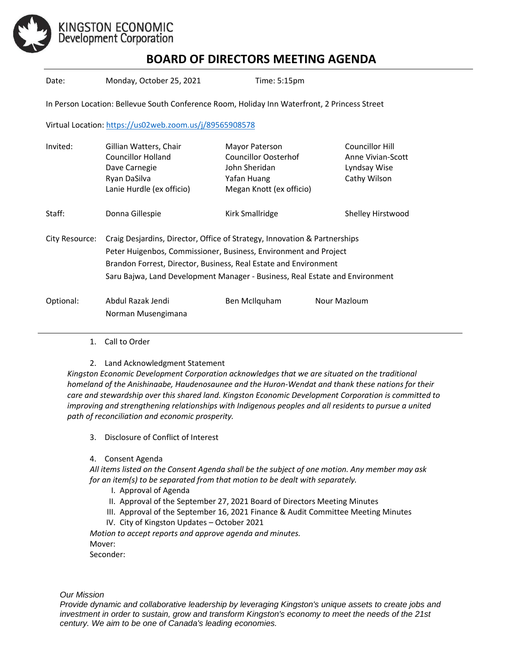

## **BOARD OF DIRECTORS MEETING AGENDA**

Date: Monday, October 25, 2021 Time: 5:15pm

In Person Location: Bellevue South Conference Room, Holiday Inn Waterfront, 2 Princess Street

Virtual Location[: https://us02web.zoom.us/j/89565908578](https://us02web.zoom.us/j/89565908578)

| Invited:       | Gillian Watters, Chair                                                       | Mayor Paterson              | Councillor Hill   |
|----------------|------------------------------------------------------------------------------|-----------------------------|-------------------|
|                | Councillor Holland                                                           | <b>Councillor Oosterhof</b> | Anne Vivian-Scott |
|                | Dave Carnegie                                                                | John Sheridan               | Lyndsay Wise      |
|                | Ryan DaSilva                                                                 | Yafan Huang                 | Cathy Wilson      |
|                | Lanie Hurdle (ex officio)                                                    | Megan Knott (ex officio)    |                   |
| Staff:         | Donna Gillespie                                                              | Kirk Smallridge             | Shelley Hirstwood |
| City Resource: | Craig Desjardins, Director, Office of Strategy, Innovation & Partnerships    |                             |                   |
|                | Peter Huigenbos, Commissioner, Business, Environment and Project             |                             |                   |
|                | Brandon Forrest, Director, Business, Real Estate and Environment             |                             |                   |
|                | Saru Bajwa, Land Development Manager - Business, Real Estate and Environment |                             |                   |
| Optional:      | Abdul Razak Jendi                                                            | Ben McIlquham               | Nour Mazloum      |
|                | Norman Musengimana                                                           |                             |                   |
|                |                                                                              |                             |                   |

1. Call to Order

2. Land Acknowledgment Statement

*Kingston Economic Development Corporation acknowledges that we are situated on the traditional homeland of the Anishinaabe, Haudenosaunee and the Huron-Wendat and thank these nations for their care and stewardship over this shared land. Kingston Economic Development Corporation is committed to improving and strengthening relationships with Indigenous peoples and all residents to pursue a united path of reconciliation and economic prosperity.*

3. Disclosure of Conflict of Interest

4. Consent Agenda

*All items listed on the Consent Agenda shall be the subject of one motion. Any member may ask for an item(s) to be separated from that motion to be dealt with separately.*

- I. Approval of Agenda
- II. Approval of the September 27, 2021 Board of Directors Meeting Minutes
- III. Approval of the September 16, 2021 Finance & Audit Committee Meeting Minutes
- IV. City of Kingston Updates October 2021

*Motion to accept reports and approve agenda and minutes.*  Mover:

Seconder:

*Our Mission*

*Provide dynamic and collaborative leadership by leveraging Kingston's unique assets to create jobs and investment in order to sustain, grow and transform Kingston's economy to meet the needs of the 21st century. We aim to be one of Canada's leading economies.*